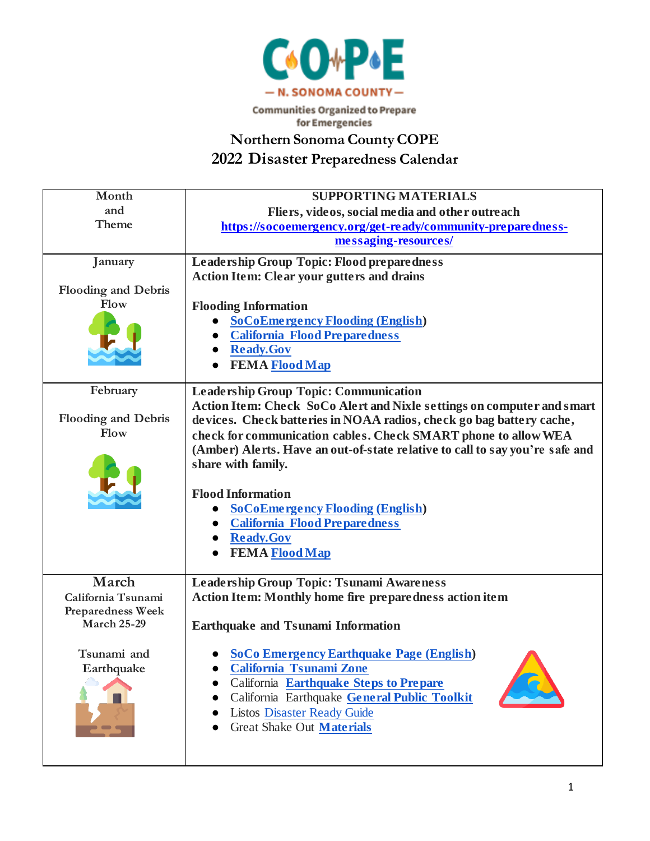

**Communities Organized to Prepare** for Emergencies

**Northern Sonoma County COPE**

**2022 Disaster Preparedness Calendar**

| Month                                          | <b>SUPPORTING MATERIALS</b>                                                  |
|------------------------------------------------|------------------------------------------------------------------------------|
| and                                            | Fliers, videos, social media and other outreach                              |
| Theme                                          | https://socoemergency.org/get-ready/community-preparedness-                  |
|                                                | messaging-resources/                                                         |
| January                                        | Leadership Group Topic: Flood preparedness                                   |
|                                                | <b>Action Item: Clear your gutters and drains</b>                            |
| <b>Flooding and Debris</b>                     |                                                                              |
| Flow                                           | <b>Flooding Information</b>                                                  |
|                                                | <b>SoCoEmergency Flooding (English)</b>                                      |
|                                                | <b>California Flood Preparedness</b>                                         |
|                                                | <b>Ready.Gov</b>                                                             |
|                                                | <b>FEMA Flood Map</b>                                                        |
| February                                       | <b>Leadership Group Topic: Communication</b>                                 |
|                                                | Action Item: Check SoCo Alert and Nixle settings on computer and smart       |
| <b>Flooding and Debris</b>                     | devices. Check batteries in NOAA radios, check go bag battery cache,         |
| Flow                                           | check for communication cables. Check SMART phone to allow WEA               |
|                                                | (Amber) Alerts. Have an out-of-state relative to call to say you're safe and |
|                                                | share with family.                                                           |
|                                                | <b>Flood Information</b>                                                     |
|                                                | <b>SoCoEmergency Flooding (English)</b>                                      |
|                                                | <b>California Flood Preparedness</b>                                         |
|                                                | Ready.Gov                                                                    |
|                                                | <b>FEMA Flood Map</b>                                                        |
|                                                |                                                                              |
| March                                          | Leadership Group Topic: Tsunami Awareness                                    |
| California Tsunami                             | <b>Action Item: Monthly home fire preparedness action item</b>               |
| <b>Preparedness Week</b><br><b>March 25-29</b> |                                                                              |
|                                                | <b>Earthquake and Tsunami Information</b>                                    |
| Tsunami and                                    | <b>SoCo Emergency Earthquake Page (English)</b>                              |
| Earthquake                                     | California Tsunami Zone                                                      |
|                                                | California Earthquake Steps to Prepare                                       |
|                                                | California Earthquake General Public Toolkit                                 |
|                                                | <b>Listos Disaster Ready Guide</b>                                           |
|                                                | Great Shake Out Materials                                                    |
|                                                |                                                                              |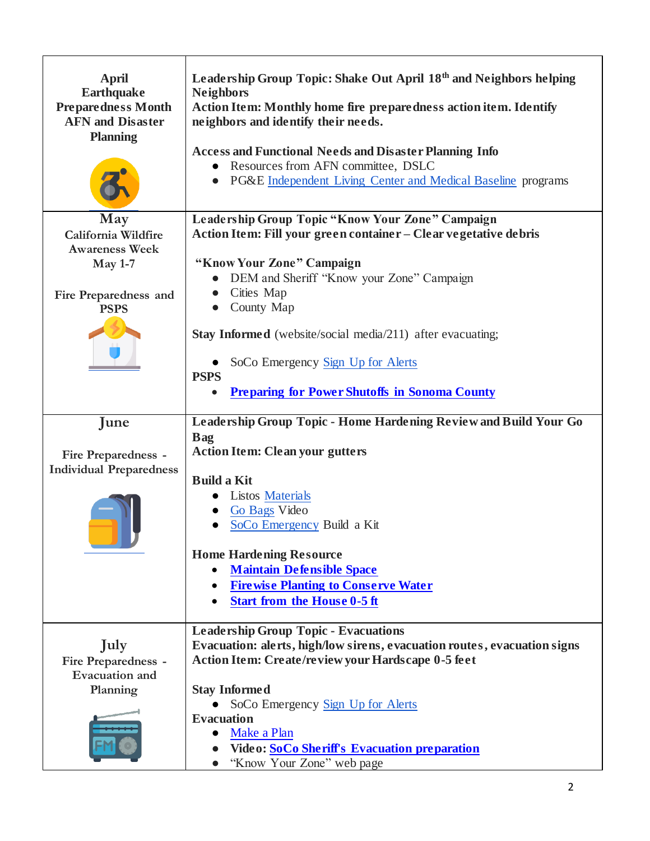| <b>April</b><br><b>Earthquake</b><br><b>Preparedness Month</b><br><b>AFN</b> and Disaster<br><b>Planning</b> | Leadership Group Topic: Shake Out April 18th and Neighbors helping<br><b>Neighbors</b><br>Action Item: Monthly home fire preparedness action item. Identify<br>neighbors and identify their needs.<br><b>Access and Functional Needs and Disaster Planning Info</b><br>Resources from AFN committee, DSLC<br>PG&E Independent Living Center and Medical Baseline programs<br>$\bullet$ |
|--------------------------------------------------------------------------------------------------------------|----------------------------------------------------------------------------------------------------------------------------------------------------------------------------------------------------------------------------------------------------------------------------------------------------------------------------------------------------------------------------------------|
| May<br>California Wildfire<br><b>Awareness Week</b><br><b>May 1-7</b>                                        | Leadership Group Topic "Know Your Zone" Campaign<br>Action Item: Fill your green container - Clear vegetative debris<br>"Know Your Zone" Campaign                                                                                                                                                                                                                                      |
| Fire Preparedness and<br><b>PSPS</b>                                                                         | DEM and Sheriff "Know your Zone" Campaign<br>Cities Map<br>County Map                                                                                                                                                                                                                                                                                                                  |
|                                                                                                              | <b>Stay Informed</b> (website/social media/211) after evacuating;<br>SoCo Emergency Sign Up for Alerts<br><b>PSPS</b><br><b>Preparing for Power Shutoffs in Sonoma County</b>                                                                                                                                                                                                          |
| June                                                                                                         | Leadership Group Topic - Home Hardening Review and Build Your Go                                                                                                                                                                                                                                                                                                                       |
|                                                                                                              |                                                                                                                                                                                                                                                                                                                                                                                        |
| <b>Fire Preparedness -</b>                                                                                   | <b>Bag</b><br><b>Action Item: Clean your gutters</b>                                                                                                                                                                                                                                                                                                                                   |
| <b>Individual Preparedness</b>                                                                               | <b>Build a Kit</b><br>Listos Materials<br>Go Bags Video<br>SoCo Emergency Build a Kit<br><b>Home Hardening Resource</b><br><b>Maintain Defensible Space</b>                                                                                                                                                                                                                            |
|                                                                                                              | <b>Firewise Planting to Conserve Water</b><br><b>Start from the House 0-5 ft</b>                                                                                                                                                                                                                                                                                                       |
| July<br><b>Fire Preparedness -</b><br><b>Evacuation</b> and<br>Planning                                      | <b>Leadership Group Topic - Evacuations</b><br>Evacuation: alerts, high/low sirens, evacuation routes, evacuation signs<br>Action Item: Create/review your Hardscape 0-5 feet<br><b>Stay Informed</b><br>SoCo Emergency Sign_Up for Alerts                                                                                                                                             |